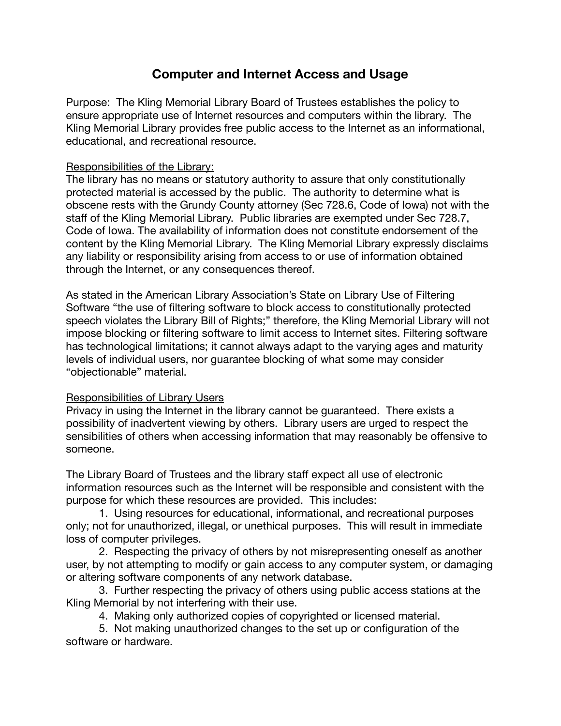## **Computer and Internet Access and Usage**

Purpose: The Kling Memorial Library Board of Trustees establishes the policy to ensure appropriate use of Internet resources and computers within the library. The Kling Memorial Library provides free public access to the Internet as an informational, educational, and recreational resource.

## Responsibilities of the Library:

The library has no means or statutory authority to assure that only constitutionally protected material is accessed by the public. The authority to determine what is obscene rests with the Grundy County attorney (Sec 728.6, Code of Iowa) not with the staff of the Kling Memorial Library. Public libraries are exempted under Sec 728.7, Code of Iowa. The availability of information does not constitute endorsement of the content by the Kling Memorial Library. The Kling Memorial Library expressly disclaims any liability or responsibility arising from access to or use of information obtained through the Internet, or any consequences thereof.

As stated in the American Library Association's State on Library Use of Filtering Software "the use of filtering software to block access to constitutionally protected speech violates the Library Bill of Rights;" therefore, the Kling Memorial Library will not impose blocking or filtering software to limit access to Internet sites. Filtering software has technological limitations; it cannot always adapt to the varying ages and maturity levels of individual users, nor guarantee blocking of what some may consider "objectionable" material.

## Responsibilities of Library Users

Privacy in using the Internet in the library cannot be guaranteed. There exists a possibility of inadvertent viewing by others. Library users are urged to respect the sensibilities of others when accessing information that may reasonably be offensive to someone.

The Library Board of Trustees and the library staff expect all use of electronic information resources such as the Internet will be responsible and consistent with the purpose for which these resources are provided. This includes:

1. Using resources for educational, informational, and recreational purposes only; not for unauthorized, illegal, or unethical purposes. This will result in immediate loss of computer privileges.

2. Respecting the privacy of others by not misrepresenting oneself as another user, by not attempting to modify or gain access to any computer system, or damaging or altering software components of any network database.

3. Further respecting the privacy of others using public access stations at the Kling Memorial by not interfering with their use.

4. Making only authorized copies of copyrighted or licensed material.

5. Not making unauthorized changes to the set up or configuration of the software or hardware.